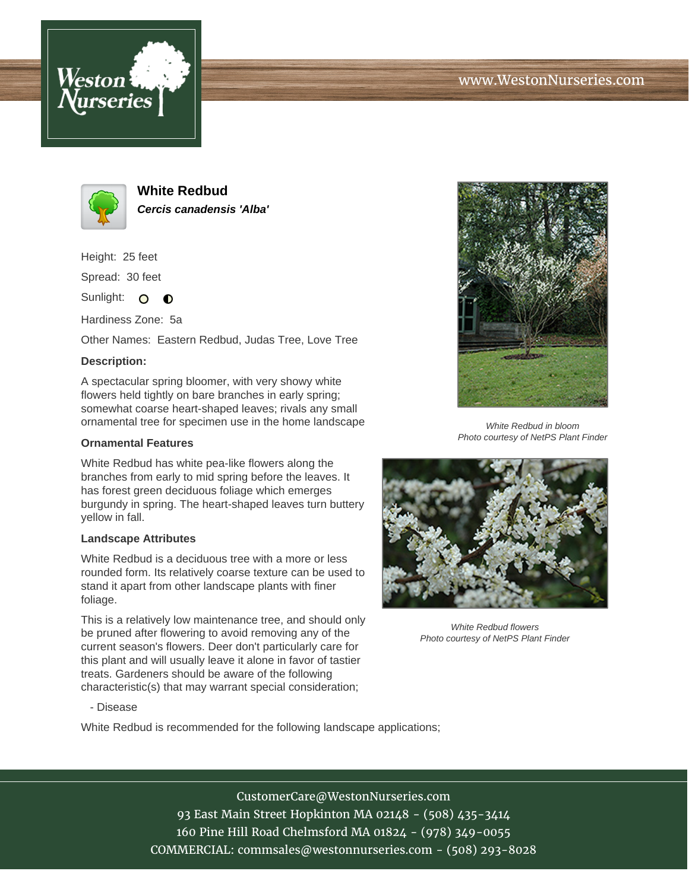



**White Redbud Cercis canadensis 'Alba'**

Height: 25 feet Spread: 30 feet

Sunlight: O **O** 

Hardiness Zone: 5a

Other Names: Eastern Redbud, Judas Tree, Love Tree

### **Description:**

A spectacular spring bloomer, with very showy white flowers held tightly on bare branches in early spring; somewhat coarse heart-shaped leaves; rivals any small ornamental tree for specimen use in the home landscape

### **Ornamental Features**

White Redbud has white pea-like flowers along the branches from early to mid spring before the leaves. It has forest green deciduous foliage which emerges burgundy in spring. The heart-shaped leaves turn buttery yellow in fall.

#### **Landscape Attributes**

White Redbud is a deciduous tree with a more or less rounded form. Its relatively coarse texture can be used to stand it apart from other landscape plants with finer foliage.

This is a relatively low maintenance tree, and should only be pruned after flowering to avoid removing any of the current season's flowers. Deer don't particularly care for this plant and will usually leave it alone in favor of tastier treats. Gardeners should be aware of the following characteristic(s) that may warrant special consideration;



White Redbud in bloom Photo courtesy of NetPS Plant Finder



White Redbud flowers Photo courtesy of NetPS Plant Finder

#### - Disease

White Redbud is recommended for the following landscape applications;

## CustomerCare@WestonNurseries.com

93 East Main Street Hopkinton MA 02148 - (508) 435-3414 160 Pine Hill Road Chelmsford MA 01824 - (978) 349-0055 COMMERCIAL: commsales@westonnurseries.com - (508) 293-8028